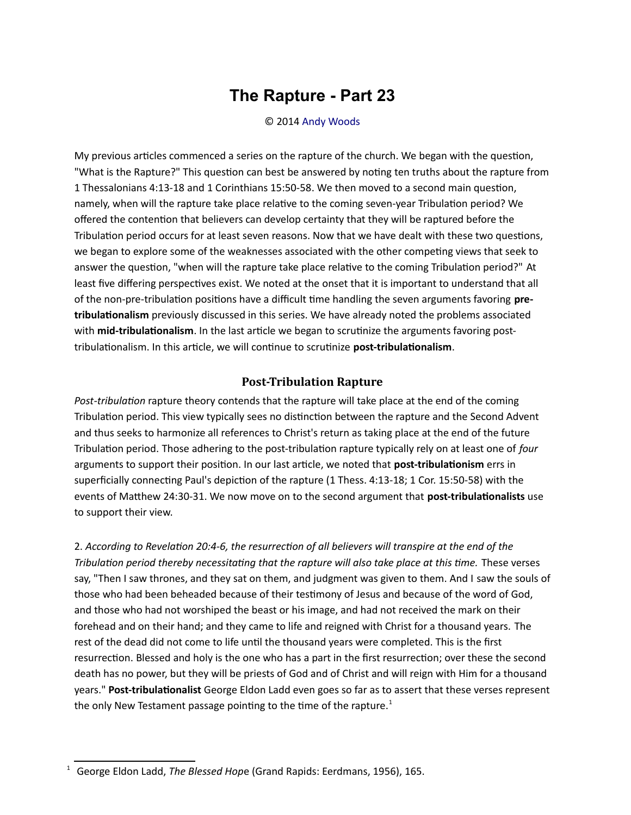## **The Rapture - Part 23**

## © 2014 [Andy Woods](http://www.spiritandtruth.org/id/aw.htm)

My previous articles commenced a series on the rapture of the church. We began with the question, "What is the Rapture?" This question can best be answered by noting ten truths about the rapture from [1 Thessalonians 4:13-18](http://biblia.com/bible/nasb95/1%20Thessalonians%204.13-18) and [1 Corinthians 15:50-58.](http://biblia.com/bible/nasb95/1%20Corinthians%2015.50-58) We then moved to a second main queston, namely, when will the rapture take place relative to the coming seven-year Tribulation period? We ofered the contenton that believers can develop certainty that they will be raptured before the Tribulation period occurs for at least seven reasons. Now that we have dealt with these two questions, we began to explore some of the weaknesses associated with the other competing views that seek to answer the question, "when will the rapture take place relative to the coming Tribulation period?" At least five differing perspectives exist. We noted at the onset that it is important to understand that all of the non-pre-tribulation positions have a difficult time handling the seven arguments favoring pre**tribulatonalism** previously discussed in this series. We have already noted the problems associated with **mid-tribulationalism**. In the last article we began to scrutinize the arguments favoring posttribulationalism. In this article, we will continue to scrutinize **post-tribulationalism**.

## **Post-Tribulation Rapture**

Post-tribulation rapture theory contends that the rapture will take place at the end of the coming Tribulation period. This view typically sees no distinction between the rapture and the Second Advent and thus seeks to harmonize all references to Christ's return as taking place at the end of the future Tribulaton period. Those adhering to the post-tribulaton rapture typically rely on at least one of *four* arguments to support their positon. In our last artcle, we noted that **post-tribulatonism** errs in superficially connecting Paul's depiction of the rapture (1 Thess. 4:13-18; 1 Cor. 15:50-58) with the events of Mathew 24:30-31. We now move on to the second argument that **post-tribulatonalists** use to support their view.

2. *According to Revelaton 20:4-6, the resurrecton of all believers will transpire at the end of the Tribulation period thereby necessitating that the rapture will also take place at this time.* These verses say, "Then I saw thrones, and they sat on them, and judgment was given to them. And I saw the souls of those who had been beheaded because of their testmony of Jesus and because of the word of God, and those who had not worshiped the beast or his image, and had not received the mark on their forehead and on their hand; and they came to life and reigned with Christ for a thousand years. The rest of the dead did not come to life until the thousand years were completed. This is the first resurrection. Blessed and holy is the one who has a part in the first resurrection; over these the second death has no power, but they will be priests of God and of Christ and will reign with Him for a thousand years." **Post-tribulatonalist** George Eldon Ladd even goes so far as to assert that these verses represent the only New Testament passage pointing to the time of the rapture.<sup>[1](#page-0-0)</sup>

<span id="page-0-0"></span><sup>&</sup>lt;sup>1</sup> George Eldon Ladd, The Blessed Hope (Grand Rapids: Eerdmans, 1956), 165.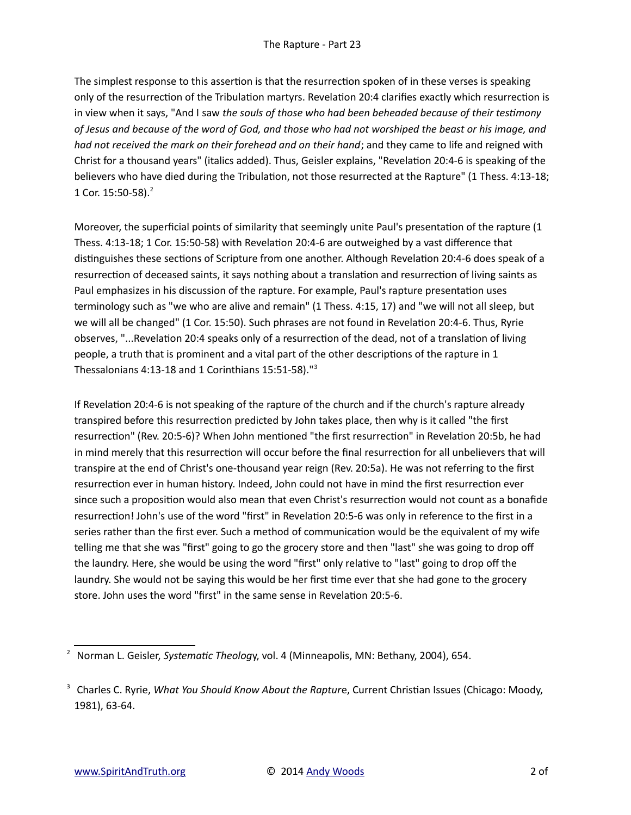The simplest response to this assertion is that the resurrection spoken of in these verses is speaking only of the resurrection of the Tribulation martyrs. Revelation 20:4 clarifies exactly which resurrection is in view when it says, "And I saw *the souls of those who had been beheaded because of their testmony of Jesus and because of the word of God, and those who had not worshiped the beast or his image, and had not received the mark on their forehead and on their hand*; and they came to life and reigned with Christ for a thousand years" (italics added). Thus, Geisler explains, "Revelation 20:4-6 is speaking of the believers who have died during the Tribulation, not those resurrected at the Rapture" (1 Thess. 4:13-18; 1 Cor. 15:50-58).[2](#page-1-0)

Moreover, the superficial points of similarity that seemingly unite Paul's presentation of the rapture (1 Thess. 4:13-18; 1 Cor. 15:50-58) with Revelaton 20:4-6 are outweighed by a vast diference that distinguishes these sections of Scripture from one another. Although Revelation 20:4-6 does speak of a resurrection of deceased saints, it says nothing about a translation and resurrection of living saints as Paul emphasizes in his discussion of the rapture. For example, Paul's rapture presentaton uses terminology such as "we who are alive and remain" (1 Thess. 4:15, 17) and "we will not all sleep, but we will all be changed" (1 Cor. 15:50). Such phrases are not found in Revelation 20:4-6. Thus, Ryrie observes, "...Revelation 20:4 speaks only of a resurrection of the dead, not of a translation of living people, a truth that is prominent and a vital part of the other descriptons of the rapture in 1 Thessalonians 4:13-18 and 1 Corinthians 15:51-58)."[3](#page-1-1)

If Revelation 20:4-6 is not speaking of the rapture of the church and if the church's rapture already transpired before this resurrection predicted by John takes place, then why is it called "the first resurrection" (Rev. 20:5-6)? When John mentioned "the first resurrection" in Revelation 20:5b, he had in mind merely that this resurrection will occur before the final resurrection for all unbelievers that will transpire at the end of Christ's one-thousand year reign (Rev. 20:5a). He was not referring to the frst resurrection ever in human history. Indeed, John could not have in mind the first resurrection ever since such a proposition would also mean that even Christ's resurrection would not count as a bonafide resurrecton! John's use of the word "frst" in Revelaton 20:5-6 was only in reference to the frst in a series rather than the first ever. Such a method of communication would be the equivalent of my wife telling me that she was "frst" going to go the grocery store and then "last" she was going to drop of the laundry. Here, she would be using the word "first" only relative to "last" going to drop off the laundry. She would not be saying this would be her frst tme ever that she had gone to the grocery store. John uses the word "first" in the same sense in Revelation 20:5-6.

<span id="page-1-0"></span><sup>&</sup>lt;sup>2</sup> Norman L. Geisler, Systematic Theology, vol. 4 (Minneapolis, MN: Bethany, 2004), 654.

<span id="page-1-1"></span><sup>&</sup>lt;sup>3</sup> Charles C. Ryrie, What You Should Know About the Rapture, Current Christian Issues (Chicago: Moody, 1981), 63-64.